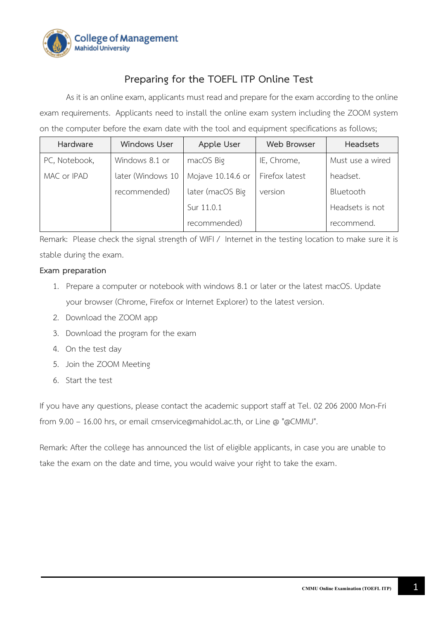

# **Preparing for the TOEFL ITP Online Test**

As it is an online exam, applicants must read and prepare for the exam according to the online exam requirements. Applicants need to install the online exam system including the ZOOM system on the computer before the exam date with the tool and equipment specifications as follows;

| Hardware      | <b>Windows User</b> | Apple User        | <b>Web Browser</b> | <b>Headsets</b>  |
|---------------|---------------------|-------------------|--------------------|------------------|
| PC, Notebook, | Windows 8.1 or      | macOS Big         | IE, Chrome,        | Must use a wired |
| MAC or IPAD   | later (Windows 10   | Mojave 10.14.6 or | Firefox latest     | headset.         |
|               | recommended)        | later (macOS Big  | version            | Bluetooth        |
|               |                     | Sur 11.0.1        |                    | Headsets is not  |
|               |                     | recommended)      |                    | recommend.       |

Remark: Please check the signal strength of WIFI / Internet in the testing location to make sure it is stable during the exam.

# **Exam preparation**

- 1. Prepare a computer or notebook with windows 8.1 or later or the latest macOS. Update your browser (Chrome, Firefox or Internet Explorer) to the latest version.
- 2. Download the ZOOM app
- 3. Download the program for the exam
- 4. On the test day
- 5. Join the ZOOM Meeting
- 6. Start the test

If you have any questions, please contact the academic support staff at Tel. 02 206 2000 Mon-Fri from 9.00 – 16.00 hrs, or email cmservice@mahidol.ac.th, or Line @ "@CMMU".

Remark: After the college has announced the list of eligible applicants, in case you are unable to take the exam on the date and time, you would waive your right to take the exam.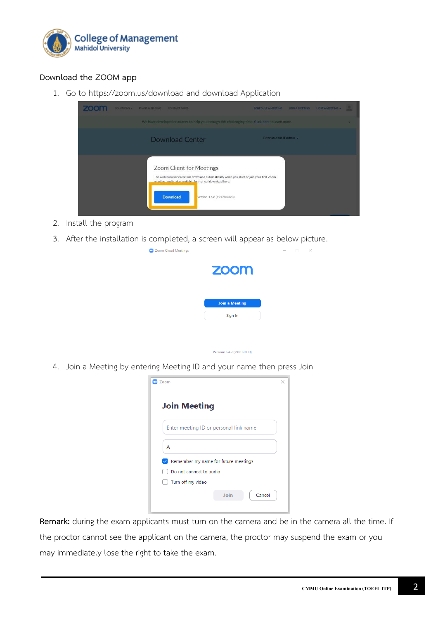

# **Download the ZOOM app**

1. Go to https://zoom.us/download and download Application



- 2. Install the program
- 3. After the installation is completed, a screen will appear as below picture.



4. Join a Meeting by entering Meeting ID and your name then press Join

| Zoom                                      |      |        | × |  |  |
|-------------------------------------------|------|--------|---|--|--|
| <b>Join Meeting</b>                       |      |        |   |  |  |
| Enter meeting ID or personal link name    |      |        |   |  |  |
| Α                                         |      |        |   |  |  |
| Remember my name for future meetings<br>✓ |      |        |   |  |  |
| Do not connect to audio                   |      |        |   |  |  |
| Turn off my video                         |      |        |   |  |  |
|                                           | Join | Cancel |   |  |  |

**Remark:** during the exam applicants must turn on the camera and be in the camera all the time. If the proctor cannot see the applicant on the camera, the proctor may suspend the exam or you may immediately lose the right to take the exam.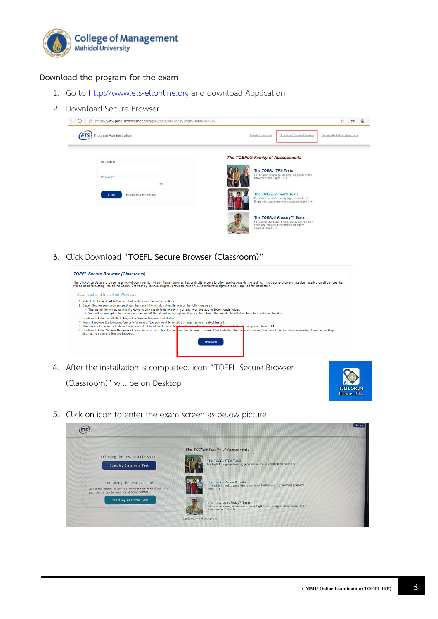

#### **Download the program for the exam**

- 1. Go to http://www.ets-[ellonline](http://www.ets-ellonline.org/).org and download Application
- 2. Download Secure Browser



3. Click Download **"TOEFL Secure Browser (Classroom)"**



4. After the installation is completed, icon "TOEFL Secure Browser (Classroom)" will be on Desktop



5. Click on icon to enter the exam screen as below picture

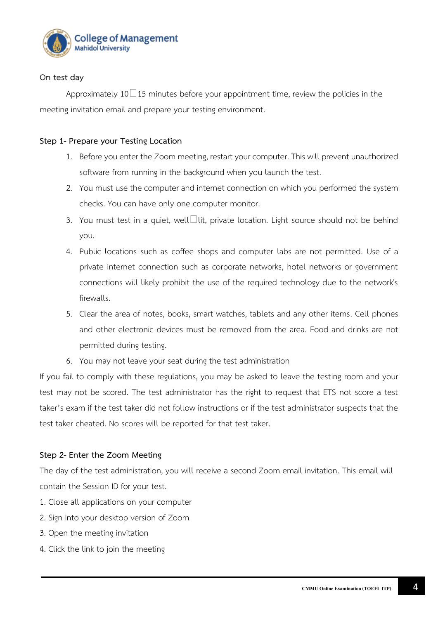

# **On test day**

Approximately 10 $\Box$ 15 minutes before your appointment time, review the policies in the meeting invitation email and prepare your testing environment.

## **Step 1- Prepare your Testing Location**

- 1. Before you enter the Zoom meeting, restart your computer. This will prevent unauthorized software from running in the background when you launch the test.
- 2. You must use the computer and internet connection on which you performed the system checks. You can have only one computer monitor.
- 3. You must test in a quiet, well  $\Box$ lit, private location. Light source should not be behind you.
- 4. Public locations such as coffee shops and computer labs are not permitted. Use of a private internet connection such as corporate networks, hotel networks or government connections will likely prohibit the use of the required technology due to the network's firewalls.
- 5. Clear the area of notes, books, smart watches, tablets and any other items. Cell phones and other electronic devices must be removed from the area. Food and drinks are not permitted during testing.
- 6. You may not leave your seat during the test administration

If you fail to comply with these regulations, you may be asked to leave the testing room and your test may not be scored. The test administrator has the right to request that ETS not score a test taker's exam if the test taker did not follow instructions or if the test administrator suspects that the test taker cheated. No scores will be reported for that test taker.

## **Step 2- Enter the Zoom Meeting**

The day of the test administration, you will receive a second Zoom email invitation. This email will contain the Session ID for your test.

- 1. Close all applications on your computer
- 2. Sign into your desktop version of Zoom
- 3. Open the meeting invitation
- 4. Click the link to join the meeting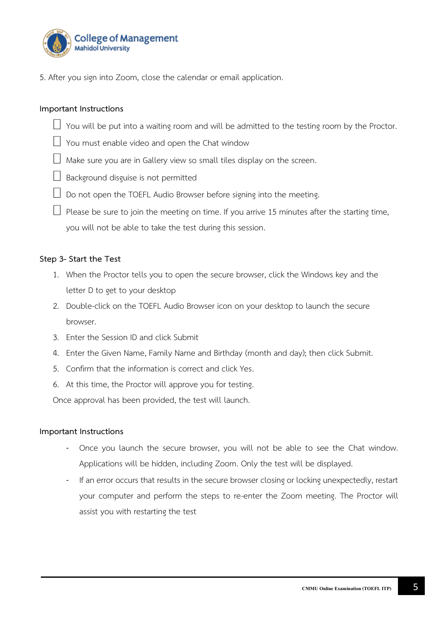

5. After you sign into Zoom, close the calendar or email application.

## **Important Instructions**

- $\Box$  You will be put into a waiting room and will be admitted to the testing room by the Proctor.
- $\Box$  You must enable video and open the Chat window
- $\Box$  Make sure you are in Gallery view so small tiles display on the screen.
- $\Box$  Background disguise is not permitted
- $\Box$  Do not open the TOEFL Audio Browser before signing into the meeting.
- $\Box$  Please be sure to join the meeting on time. If you arrive 15 minutes after the starting time, you will not be able to take the test during this session.

#### **Step 3- Start the Test**

- 1. When the Proctor tells you to open the secure browser, click the Windows key and the letter D to get to your desktop
- 2. Double-click on the TOEFL Audio Browser icon on your desktop to launch the secure browser.
- 3. Enter the Session ID and click Submit
- 4. Enter the Given Name, Family Name and Birthday (month and day); then click Submit.
- 5. Confirm that the information is correct and click Yes.
- 6. At this time, the Proctor will approve you for testing.

Once approval has been provided, the test will launch.

#### **Important Instructions**

- Once you launch the secure browser, you will not be able to see the Chat window. Applications will be hidden, including Zoom. Only the test will be displayed.
- If an error occurs that results in the secure browser closing or locking unexpectedly, restart your computer and perform the steps to re-enter the Zoom meeting. The Proctor will assist you with restarting the test